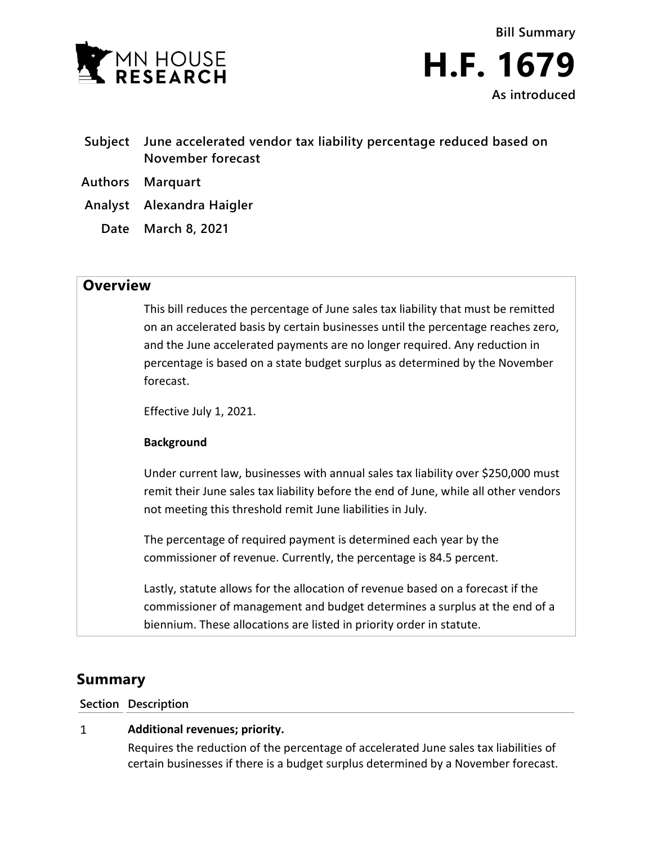



- **Subject June accelerated vendor tax liability percentage reduced based on November forecast**
- **Authors Marquart**
- **Analyst Alexandra Haigler**
	- **Date March 8, 2021**

## **Overview**

This bill reduces the percentage of June sales tax liability that must be remitted on an accelerated basis by certain businesses until the percentage reaches zero, and the June accelerated payments are no longer required. Any reduction in percentage is based on a state budget surplus as determined by the November forecast.

Effective July 1, 2021.

## **Background**

Under current law, businesses with annual sales tax liability over \$250,000 must remit their June sales tax liability before the end of June, while all other vendors not meeting this threshold remit June liabilities in July.

The percentage of required payment is determined each year by the commissioner of revenue. Currently, the percentage is 84.5 percent.

Lastly, statute allows for the allocation of revenue based on a forecast if the commissioner of management and budget determines a surplus at the end of a biennium. These allocations are listed in priority order in statute.

# **Summary**

**Section Description**

#### **Additional revenues; priority.**  $\mathbf{1}$

Requires the reduction of the percentage of accelerated June sales tax liabilities of certain businesses if there is a budget surplus determined by a November forecast.